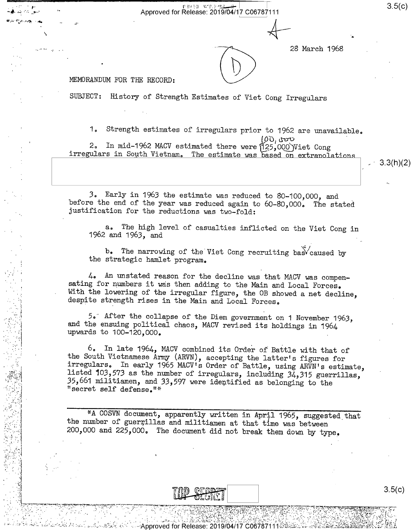$\Gamma$  Beand - With a ;\_§. .:;i \_\_:-~-' Approved for Release: 2019/O4/17 CO6787111

28 March 1968

4

## MEMORANDUM FOR THE RECORD:

Gt;-\_~ r"'\_\_-", ,¢.\_,1;\_. . \_4\_ \_\_ \_\_ -

 $\lambda$ 

- .

I .1,-' . ~: :~ - H. \_ 1  $\cdot$  . .-r?

 $\ldots$ 

.1 . '.~.\_.\_  $^{\circ}$  -  $^{\circ}$  $\cdots$  .

 $\cdot$  .

Ŧ.

<sup>1</sup>-, ~, |- -\_ ' '

 $\cdot$   $\cdot$   $\cdot$   $\cdot$ 

 $\mathcal{C}^{\mathcal{C}}$  '  $\mathcal{C}^{\mathcal{C}}$ 

--.<'-r-.'-~?::\_\_"@.\_ .'1.'\\*='-\_\_ -""-=va'-\*~\_\_

.- -

- 1940au 1950au 1950au 1950au 1950au 1950au 1950au 1950au 1950au 1950au 1950au 1950au 1950au 1950au 1950au 195<br>Anni ann an Cairlige Carlos ann an Cairlige Cairlige Carlos ann an Cairlige Cairlige Cairlige Cairlige Cairlig

- ' ' \_. \_ - \_ - -

' '

 $\Delta$  , and the set of the set of the set of  $\Delta$  . In the set of the set of the set of the set of the set of the set

-'

- . .

 $\ddot{\phantom{a}}$ 

SUBJECT: History of Strength Estimates of Viet Cong Irregulars

1. Strength estimates of irregulars prior to 1962 are unavailable.  $(0)$ ,  $(0)$ ,  $(0)$ ,  $(0)$ <br>In mid-1962 MACV estimated there were  $(125,000)$ Viet Cong 2. In mid-1962 MACV estimated there were  $(125,000)$ Viet Cong irregulars in South Vietnam. The estimate was based on extrapolations

 $3.3(h)(2)$ 

3. Early in 1963 the estimate was reduced to 80-100,000, and before the end of the year was reduced again to 60-80,000. The stated justification for the reductions was two-fold:

a. The high level of casualties inflicted on the Viet Cong in 1962 and 1963, and

b. The narrowing of the Viet Cong recruiting based by the strategic hamlet program.

4. An unstated reason for the decline was that MACV was compen- sating for numbers it was then adding to the Main and Local Forces. With the lowering of the irregular figure, the OB showed a net decline, despite strength rises in the Main and Local Forces.

5." After the collapse of the Diem government on 1 November 1963, and the ensuing political chaos, MACV revised its holdings in 1964 upwards to 100-120,000. -

6. In late 1964, MACV combined its Order of Battle with that of<br>the South Vietnamese Army (ARVN), accepting the latter's figures for<br>irregulars. In early 1965 MACV's Order of Battle, using ARVN's estimate,<br>listed 103,573

\*A COSVN document, apparently written in April 1965, suggested that the number of guerrillas and militiamen at that time was between 200,000 and 225,000. The document did not break them down by type.



. ;:\_~ -'§?\_ L\_;~.,"~-.-.---\_ .— : \_--, - :'-. -'.~ - -. -.-.--)--r".""5;'\:~' .1-.-- . .\_ - -- . . V -

-.3--~<Appr0vedf0rRe|ease: 2019/04/17C06787111»i;i1i».;§;z"

.- - 'V :' \_. -. -.- \_\_ -- .-.\_:, - '»' ..\_'-\_-'1.--:1; \_. .- .-.1. ;~\_- .-,- ..

. \_. 2. ' .1:-,-., "v\_- \*1 . .--".1 ' ;' '

 $-1.5$  ,  $-1.1$  ,  $-1.1$  ,  $-1.1$  ,  $-1.1$  ,  $-1.1$  ,  $-1.1$  ,  $-1.1$  ,  $-1.1$  ,  $-1.1$  ,  $-1.1$  ,  $-1.1$  ,  $-1.1$  ,  $-1.1$  ,  $-1.1$  ,  $-1.1$  ,  $-1.1$  ,  $-1.1$  ,  $-1.1$  ,  $-1.1$  ,  $-1.1$  ,  $-1.1$  ,  $-1.1$  ,  $-1.1$  ,  $-1.1$ 

 $P \rightarrow \mathbb{R}$  , we can consider the constraint of  $P$  ,  $\mathbb{R}$  ,  $P$  ,  $\mathbb{R}$  ,  $P$  ,  $\mathbb{R}$  ,  $P$  ,  $\mathbb{R}$  ,  $P$  ,  $\mathbb{R}$  ,  $P$  ,  $\mathbb{R}$  ,  $P$  ,  $\mathbb{R}$  ,  $P$  ,  $\mathbb{R}$  ,  $P$  ,  $\mathbb{R}$  ,  $P$  ,  $\mathbb{R}$  ,  $P$ 

\_ §;;;\_'-\_\_;(:\_-.-:-\_"\_'I'\_—=/=?;;=\_,-:;»{;j;vi-1.-:!.-3 ,.=.\_\_'§

- ;> - ' ;"

\_' <sup>1</sup>

\*-~.;\_".-=-- ;="'f\*."'f:"'\_'-1\*."¢~,:,;,='=~.;?fiP--13!?'-;j'§\;";=--1<"':.§-1.T'='\'?Ii5.\$i1:"??§'-I-11771;-'-fit?-'-:§¥":T§Y"'§7§7'§'§7§?T'-."'-"-=!~i?~"\_""'"{'7'TF"'rv1q-!;'.r\.

'-

 $\mathcal{L}_t$  ,  $\mathcal{L}_t$  ,  $\mathcal{L}_t$  ,  $\mathcal{L}_t$  ,  $\mathcal{L}_t$  ,  $\mathcal{L}_t$  ,  $\mathcal{L}_t$ 

|'\_ <sup>1</sup>'\_ ,3 <sup>f</sup>

 $\mathbb{E}[\mathbf{x}^T_{i+1}]=\mathbf{e}^T_{i+1}=\mathbf{e}^T_{i+1}=\mathbf{e}^T_{i+1}=\mathbf{e}^T_{i+1}=\mathbf{e}^T_{i+1}=\mathbf{e}^T_{i+1}=\mathbf{e}^T_{i+1}=\mathbf{e}^T_{i+1}=\mathbf{e}^T_{i+1}=\mathbf{e}^T_{i+1}=\mathbf{e}^T_{i+1}=\mathbf{e}^T_{i+1}=\mathbf{e}^T_{i+1}=\mathbf{e}^T_{i+1}=\mathbf{e}^T_{i+1}=\mathbf{e}$ 

.1 ,,\_\_v\_-\_"- L; -.1--'-' .;"=,. -\_'=f'-\_=-j(-';>--,-'\_-'- .1"?!-. ;-..\'--\_~; '\_~'.'.;".-.

- -'.'- ",'-- '~. >'~'.'§":."'l"'.'\-'\_.',"-" - .-";- ~.-L\_~='::'\_-. 1. ~-.'\_. .-

. , '1. 1 - 4i".= - 3-. "- :~.- .=".'\\_=='-.~.'2'.\*=?:'.-.' -1 J-§ r:.f\_-\_.'-.' , :-,- .:.'.- .'.- '-.'-.. --- \_ .'- '-"-",- '.-. \_. - -— A .' 'L.'\- :'-...~-. \:'-/V'.---in-1--' -.-\ -1:-' - "- ' ~ " "

 $\mathbf{r}$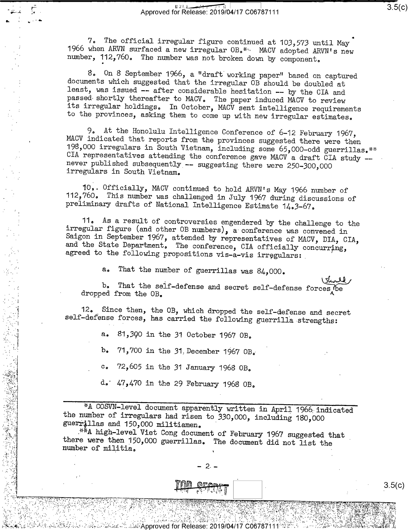R 1 1- VII 1

-.,

a V-.,

 $\sim$  .

'\*

'

 $\sim$ 

:3}

7. The official irregular figure continued at  $103,573$  until May.<br>1966 when ARVN surfaced a new irregular  $OB_0$ \*. MACV adopted ARVN's new number, 112,760. The number was not broken down by component.

8. On 8 September 1966, a "draft working paper" based on captured<br>documents which suggested that the irregular OB should be doubled at<br>least, was issued -- after considerable hesitation -- by the CIA and<br>passed shortly the

9. At the Honolulu Intelligence Conference of 6-12 February 1967,<br>MACV indicated that reports from the provinces suggested there were then<br>198,000 irregulars in South Vietnam, including some 65,000-odd guerrillas.\*\*<br>CIA r

10,. Officially, MACV continued to hold ARVN's May 1966 number of 112,760. This number was challenged in July 1967 during discussions of preliminary drafts of National Intelligence Estimate 1403-67.

11. As a result of controversies engendered by the challenge to the irregular figure (and other OB numbers), a conference was convened in Saigon in September 1967, attended by representatives of MACV, DIA, CIA, and the Sta

a. That the number of guerrillas was 84,000.

b. That the self-defense and secret self-defense forces, be— dropped from the  $OB_{\bullet}$  and the set of  $\Lambda$ 

> 12. Since then, the OB, which dropped the self-defense and secret self-defense forces, has carried the following guerrilla strengths:

> > \. e. 81,390 in the 31 October 196'? 013,

b. 71,700 in the 31 December 1967 OB.

c. 72,605 in the 31 January 1968 OB.

 $a_{\bullet}$  47,470 in the 29 February 1968 OB.

1,:::1. 1,::1. EH5" \_-: 1,:2. EH5" \_-: 1,:2. EH5" \_-: 1,:2. EH5" \_-: 1,:2. EH5" \_-: 1,:2. EH5" \_-: 1,:2. EH5"

- \_- - \_. ,/. '.

부나는 아이들은 그 사람들을 하고 있는 것을 하고 있다. 이 사람들은 그 사람들은 그 사람들의 소리를 받고 있다. 이 사람들은 그 사람들은 그 사람들은 그 사람들을 지도 않았다.

' ' ' '

.,, . -,'. "j.-\_\_'. \_ 1' ' .' '\_'.'=. 5- - - -' - .- -- \_\_ ;- ,. 1-,' '. \_.

\*A COSVN-level document apparently written in April 1966 indicated the number of irregulars had risen to 330,000, including 180,000 guerrillas and 150,000 militiamen.

 $14^{*}$ A high-level Viet Cong document of February 1967 suggested that there were then 150,000 guerrillas. The document did not list the number of militia.

 $\frac{1}{2}$ ,  $\frac{1}{2}$ ,  $\frac{1}{2}$ ,  $\frac{1}{2}$ ,  $\frac{1}{2}$ ,  $\frac{1}{2}$ ,  $\frac{1}{2}$ ,  $\frac{1}{2}$ ,  $\frac{1}{2}$ ,  $\frac{1}{2}$ ,  $\frac{1}{2}$ ,  $\frac{1}{2}$ ,  $\frac{1}{2}$ ,  $\frac{1}{2}$ ,  $\frac{1}{2}$ ,  $\frac{1}{2}$ ,  $\frac{1}{2}$ ,  $\frac{1}{2}$ ,  $\frac{1}{2}$ ,  $\frac{1}{2}$ ,

: ' " -- '-.»'r.=.,:-,.--.a».—\_ =-- ;,—'-"-~'---¢T~.=-as-...\_-:-r-VF?-'T. -.-:--1 -' . . .-7->~v,@—.-~ ---.—..—~r—-e.. ..\_ \_..\_,'-H;-1. -.-'-QPN».--—<... - \_ . — . .7 awe, I ..~

िए परिष्कर संस्कृत परिषद काल कर परिषद परिषद कर परिषद से समाधान कर है।<br>सन्दर्भ सामग्रीह से सामग्रीह से सामग्रीह के सामग्रीह से सामग्रीह से सामग्रीह से सामग्रीह के एक समाधान के प्रकल

.. .. . -- .. 'AF . . , ...-1, - .. -\_ - - - \_='.~"- --, ..' .- --. 'I \- ~-.----.1-=.-|-.-,\_\_..\_v..,.,-\*---..\_;..,--"..-'- Iv.-, - -- '--,~. \_- - 1;." -.' -.<' '--- "11--. -'1c~';' - ., \_;.\_;\_. -- -

\_; -\_-',- \_-;-,;a,'\_-2;:1'a\'.M;-=-.-\_?;?j=..11.,- : \* -\_ ,,: '

- 'I '::\_~-:;\_':\_ --\_» - -51.; --'\_-,\',>!';>--|.\_'\_ . .-"I—.\_-.\*\_-\_ -

, -..., -..., -..., -..., -..., -..., -..., -..., -..., -..., -..., -..., -..., -..., -..., -..., -..., -..., -<br>-..., -..., -..., -..., -..., -..., -..., -..., -..., -..., -..., -..., -..., -.

' \_:' ' -.'.-'1.I.-F1, ~'. ,5 - .--,'.,; 1;, ~ K ,. 1,1.-'-L-.--,2,\_-\_f>;-'-\_.31:-.ri.-A';[.\;--"'1~u'I -31,--

I,'

 $\cdot$  . The state of the state of the state of the state of the state of the state of the state of the state of the state of the state of the state of the state of the state of the state of the state of the state of the st

 $3.5(c)$